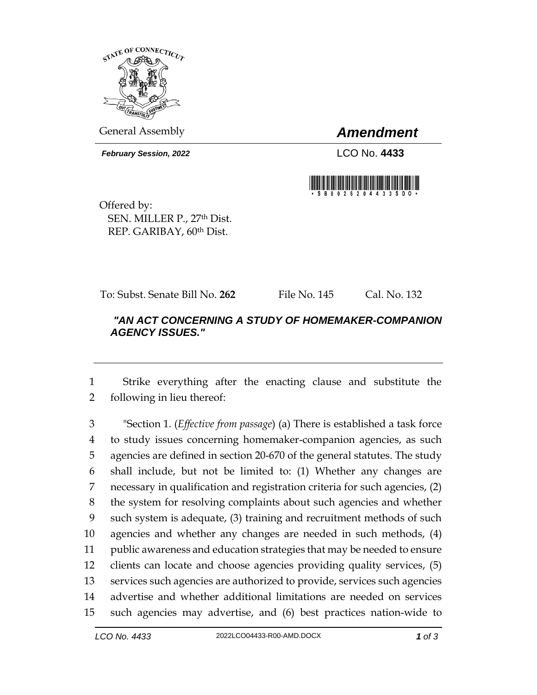

General Assembly *Amendment*

*February Session, 2022* LCO No. **4433**



Offered by: SEN. MILLER P., 27th Dist. REP. GARIBAY, 60th Dist.

To: Subst. Senate Bill No. **262** File No. 145 Cal. No. 132

## *"AN ACT CONCERNING A STUDY OF HOMEMAKER-COMPANION AGENCY ISSUES."*

 Strike everything after the enacting clause and substitute the following in lieu thereof:

 "Section 1. (*Effective from passage*) (a) There is established a task force to study issues concerning homemaker-companion agencies, as such agencies are defined in section 20-670 of the general statutes. The study shall include, but not be limited to: (1) Whether any changes are necessary in qualification and registration criteria for such agencies, (2) the system for resolving complaints about such agencies and whether such system is adequate, (3) training and recruitment methods of such agencies and whether any changes are needed in such methods, (4) public awareness and education strategies that may be needed to ensure clients can locate and choose agencies providing quality services, (5) services such agencies are authorized to provide, services such agencies advertise and whether additional limitations are needed on services such agencies may advertise, and (6) best practices nation-wide to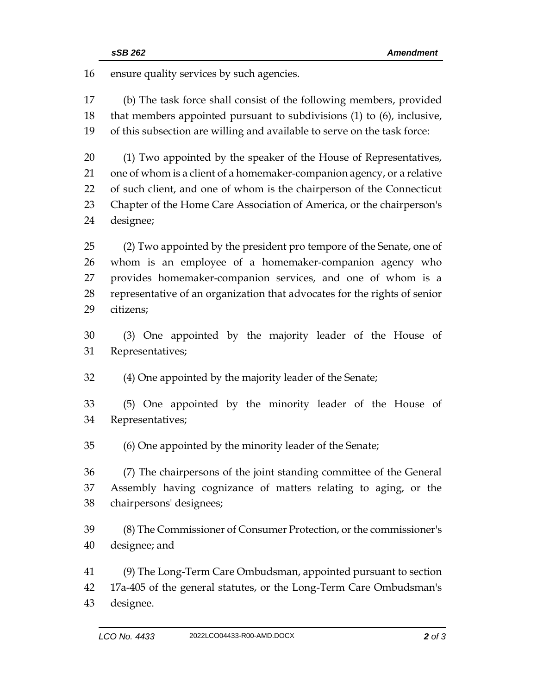ensure quality services by such agencies.

 (b) The task force shall consist of the following members, provided that members appointed pursuant to subdivisions (1) to (6), inclusive, of this subsection are willing and available to serve on the task force:

 (1) Two appointed by the speaker of the House of Representatives, one of whom is a client of a homemaker-companion agency, or a relative of such client, and one of whom is the chairperson of the Connecticut Chapter of the Home Care Association of America, or the chairperson's designee;

 (2) Two appointed by the president pro tempore of the Senate, one of whom is an employee of a homemaker-companion agency who provides homemaker-companion services, and one of whom is a representative of an organization that advocates for the rights of senior citizens;

 (3) One appointed by the majority leader of the House of Representatives;

(4) One appointed by the majority leader of the Senate;

 (5) One appointed by the minority leader of the House of Representatives;

(6) One appointed by the minority leader of the Senate;

 (7) The chairpersons of the joint standing committee of the General Assembly having cognizance of matters relating to aging, or the chairpersons' designees;

 (8) The Commissioner of Consumer Protection, or the commissioner's designee; and

 (9) The Long-Term Care Ombudsman, appointed pursuant to section 17a-405 of the general statutes, or the Long-Term Care Ombudsman's designee.